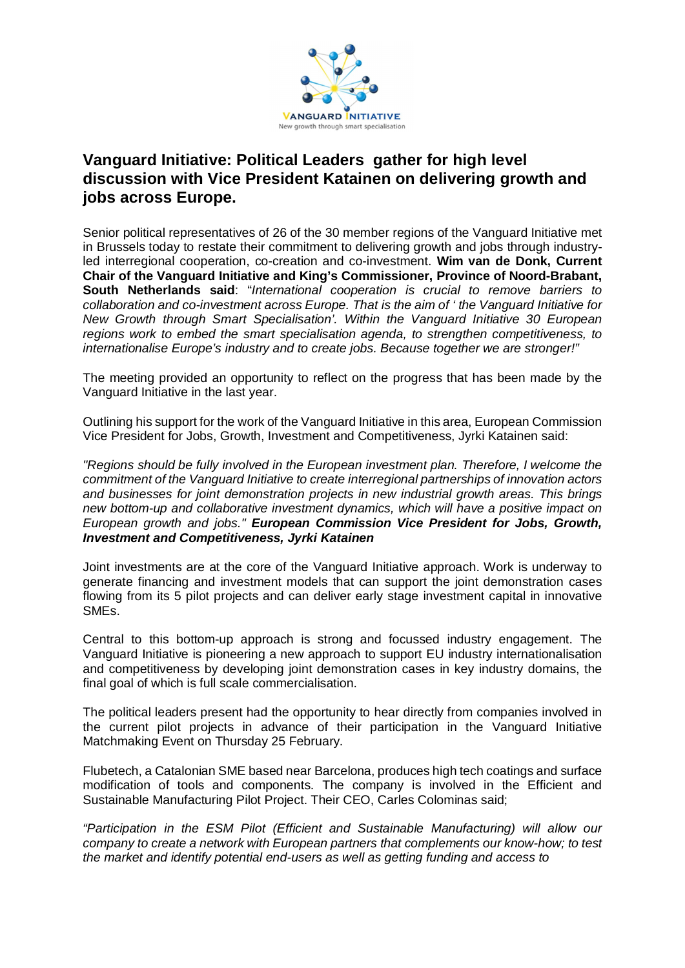

## **Vanguard Initiative: Political Leaders gather for high level discussion with Vice President Katainen on delivering growth and jobs across Europe.**

Senior political representatives of 26 of the 30 member regions of the Vanguard Initiative met in Brussels today to restate their commitment to delivering growth and jobs through industryled interregional cooperation, co-creation and co-investment. **Wim van de Donk, Current Chair of the Vanguard Initiative and King's Commissioner, Province of Noord-Brabant, South Netherlands said**: "*International cooperation is crucial to remove barriers to collaboration and co-investment across Europe. That is the aim of ' the Vanguard Initiative for New Growth through Smart Specialisation'. Within the Vanguard Initiative 30 European regions work to embed the smart specialisation agenda, to strengthen competitiveness, to internationalise Europe's industry and to create jobs. Because together we are stronger!"* 

The meeting provided an opportunity to reflect on the progress that has been made by the Vanguard Initiative in the last year.

Outlining his support for the work of the Vanguard Initiative in this area, European Commission Vice President for Jobs, Growth, Investment and Competitiveness, Jyrki Katainen said:

*"Regions should be fully involved in the European investment plan. Therefore, I welcome the commitment of the Vanguard Initiative to create interregional partnerships of innovation actors and businesses for joint demonstration projects in new industrial growth areas. This brings new bottom-up and collaborative investment dynamics, which will have a positive impact on European growth and jobs." European Commission Vice President for Jobs, Growth, Investment and Competitiveness, Jyrki Katainen*

Joint investments are at the core of the Vanguard Initiative approach. Work is underway to generate financing and investment models that can support the joint demonstration cases flowing from its 5 pilot projects and can deliver early stage investment capital in innovative SMEs.

Central to this bottom-up approach is strong and focussed industry engagement. The Vanguard Initiative is pioneering a new approach to support EU industry internationalisation and competitiveness by developing joint demonstration cases in key industry domains, the final goal of which is full scale commercialisation.

The political leaders present had the opportunity to hear directly from companies involved in the current pilot projects in advance of their participation in the Vanguard Initiative Matchmaking Event on Thursday 25 February.

Flubetech, a Catalonian SME based near Barcelona, produces high tech coatings and surface modification of tools and components. The company is involved in the Efficient and Sustainable Manufacturing Pilot Project. Their CEO, Carles Colominas said;

*"Participation in the ESM Pilot (Efficient and Sustainable Manufacturing) will allow our company to create a network with European partners that complements our know-how; to test the market and identify potential end-users as well as getting funding and access to*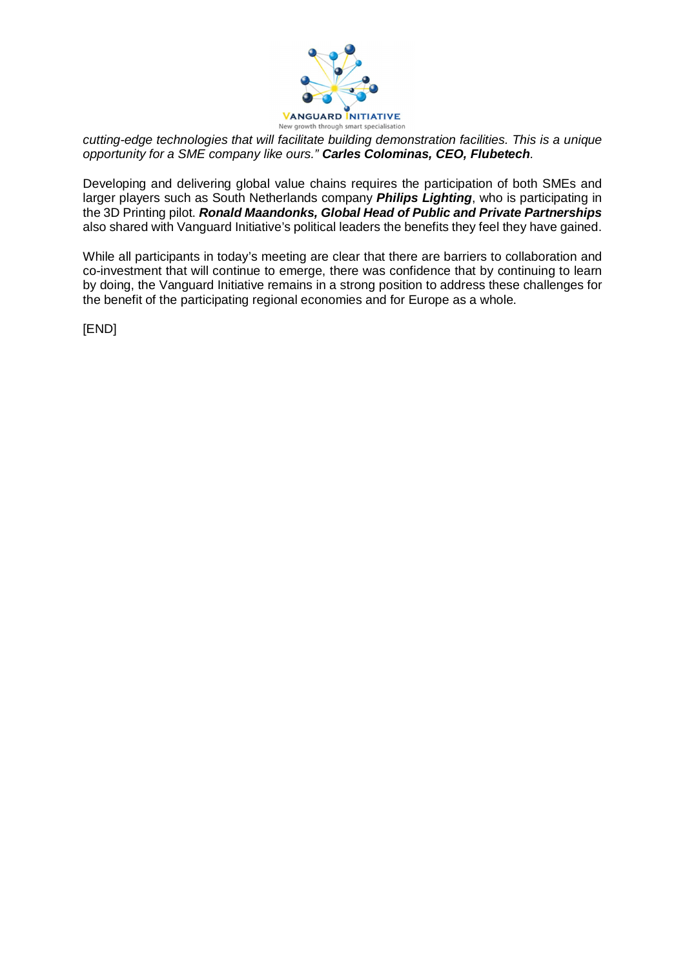

*cutting-edge technologies that will facilitate building demonstration facilities. This is a unique opportunity for a SME company like ours." Carles Colominas, CEO, Flubetech.* 

Developing and delivering global value chains requires the participation of both SMEs and larger players such as South Netherlands company *Philips Lighting*, who is participating in the 3D Printing pilot. *Ronald Maandonks, Global Head of Public and Private Partnerships* also shared with Vanguard Initiative's political leaders the benefits they feel they have gained.

While all participants in today's meeting are clear that there are barriers to collaboration and co-investment that will continue to emerge, there was confidence that by continuing to learn by doing, the Vanguard Initiative remains in a strong position to address these challenges for the benefit of the participating regional economies and for Europe as a whole.

[END]